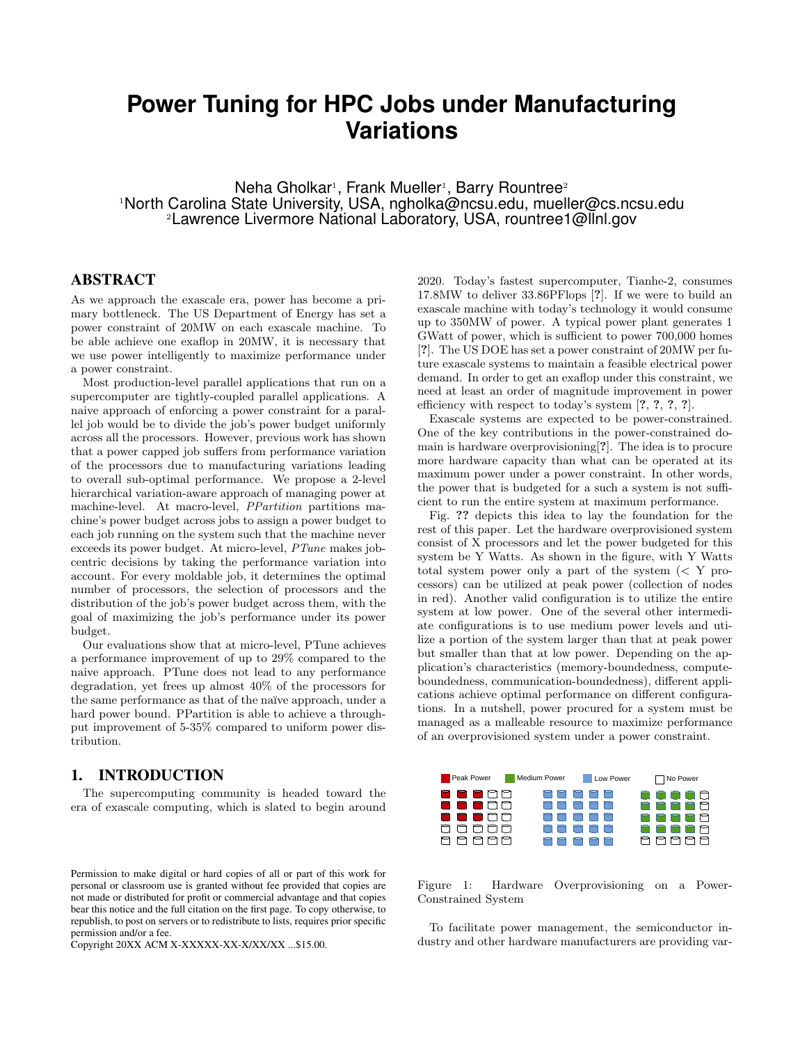# **Power Tuning for HPC Jobs under Manufacturing Variations**

 $N$ eha Gholkar<sup>1</sup>, Frank Mueller<sup>1</sup>, Barry Rountree<sup>2</sup> <sup>1</sup>North Carolina State University, USA, ngholka@ncsu.edu, mueller@cs.ncsu.edu <sup>2</sup>Lawrence Livermore National Laboratory, USA, rountree1@llnl.gov

# ABSTRACT

As we approach the exascale era, power has become a primary bottleneck. The US Department of Energy has set a power constraint of 20MW on each exascale machine. To be able achieve one exaflop in 20MW, it is necessary that we use power intelligently to maximize performance under a power constraint.

Most production-level parallel applications that run on a supercomputer are tightly-coupled parallel applications. A naive approach of enforcing a power constraint for a parallel job would be to divide the job's power budget uniformly across all the processors. However, previous work has shown that a power capped job suffers from performance variation of the processors due to manufacturing variations leading to overall sub-optimal performance. We propose a 2-level hierarchical variation-aware approach of managing power at machine-level. At macro-level, PPartition partitions machine's power budget across jobs to assign a power budget to each job running on the system such that the machine never exceeds its power budget. At micro-level, PTune makes jobcentric decisions by taking the performance variation into account. For every moldable job, it determines the optimal number of processors, the selection of processors and the distribution of the job's power budget across them, with the goal of maximizing the job's performance under its power budget.

Our evaluations show that at micro-level, PTune achieves a performance improvement of up to 29% compared to the naive approach. PTune does not lead to any performance degradation, yet frees up almost 40% of the processors for the same performance as that of the naïve approach, under a hard power bound. PPartition is able to achieve a throughput improvement of 5-35% compared to uniform power distribution.

# 1. INTRODUCTION

The supercomputing community is headed toward the era of exascale computing, which is slated to begin around

Copyright 20XX ACM X-XXXXX-XX-X/XX/XX ...\$15.00.

2020. Today's fastest supercomputer, Tianhe-2, consumes 17.8MW to deliver 33.86PFlops [?]. If we were to build an exascale machine with today's technology it would consume up to 350MW of power. A typical power plant generates 1 GWatt of power, which is sufficient to power 700,000 homes [?]. The US DOE has set a power constraint of 20MW per future exascale systems to maintain a feasible electrical power demand. In order to get an exaflop under this constraint, we need at least an order of magnitude improvement in power efficiency with respect to today's system [?, ?, ?, ?].

Exascale systems are expected to be power-constrained. One of the key contributions in the power-constrained domain is hardware overprovisioning[?]. The idea is to procure more hardware capacity than what can be operated at its maximum power under a power constraint. In other words, the power that is budgeted for a such a system is not sufficient to run the entire system at maximum performance.

Fig. ?? depicts this idea to lay the foundation for the rest of this paper. Let the hardware overprovisioned system consist of X processors and let the power budgeted for this system be Y Watts. As shown in the figure, with Y Watts total system power only a part of the system  $\langle \langle Y \rangle$  processors) can be utilized at peak power (collection of nodes in red). Another valid configuration is to utilize the entire system at low power. One of the several other intermediate configurations is to use medium power levels and utilize a portion of the system larger than that at peak power but smaller than that at low power. Depending on the application's characteristics (memory-boundedness, computeboundedness, communication-boundedness), different applications achieve optimal performance on different configurations. In a nutshell, power procured for a system must be managed as a malleable resource to maximize performance of an overprovisioned system under a power constraint.



Figure 1: Hardware Overprovisioning on a Power-Constrained System

To facilitate power management, the semiconductor industry and other hardware manufacturers are providing var-

Permission to make digital or hard copies of all or part of this work for personal or classroom use is granted without fee provided that copies are not made or distributed for profit or commercial advantage and that copies bear this notice and the full citation on the first page. To copy otherwise, to republish, to post on servers or to redistribute to lists, requires prior specific permission and/or a fee.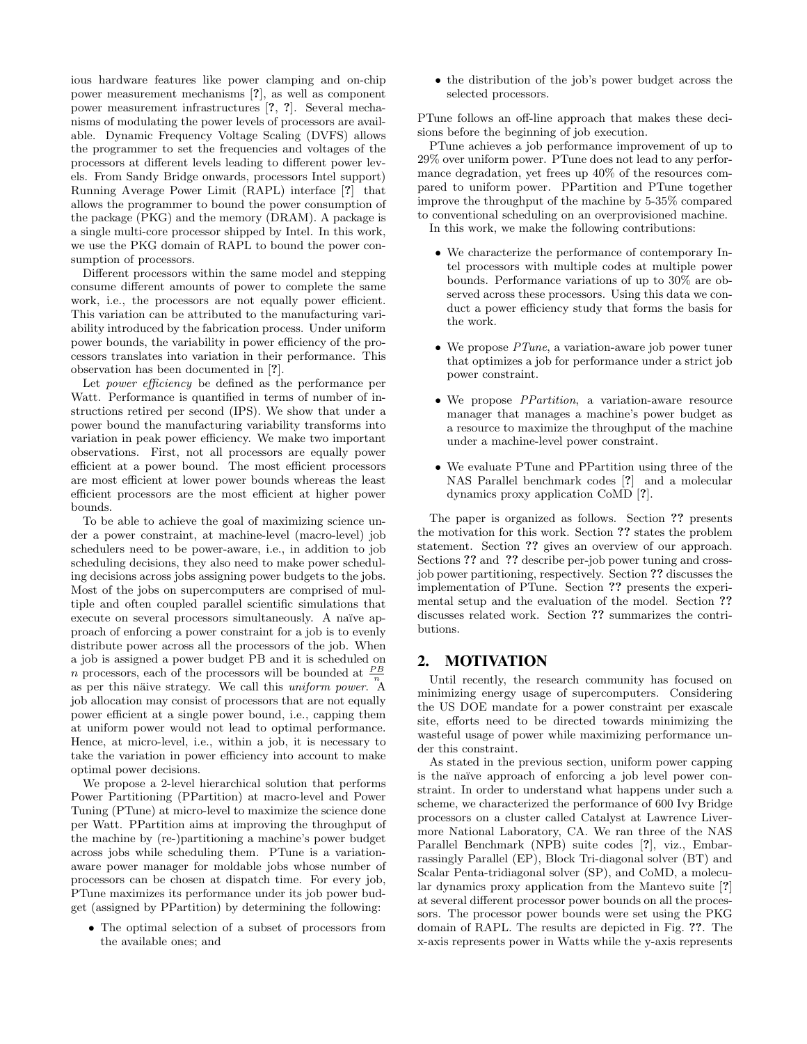ious hardware features like power clamping and on-chip power measurement mechanisms [?], as well as component power measurement infrastructures [?, ?]. Several mechanisms of modulating the power levels of processors are available. Dynamic Frequency Voltage Scaling (DVFS) allows the programmer to set the frequencies and voltages of the processors at different levels leading to different power levels. From Sandy Bridge onwards, processors Intel support) Running Average Power Limit (RAPL) interface [?] that allows the programmer to bound the power consumption of the package (PKG) and the memory (DRAM). A package is a single multi-core processor shipped by Intel. In this work, we use the PKG domain of RAPL to bound the power consumption of processors.

Different processors within the same model and stepping consume different amounts of power to complete the same work, i.e., the processors are not equally power efficient. This variation can be attributed to the manufacturing variability introduced by the fabrication process. Under uniform power bounds, the variability in power efficiency of the processors translates into variation in their performance. This observation has been documented in [?].

Let power efficiency be defined as the performance per Watt. Performance is quantified in terms of number of instructions retired per second (IPS). We show that under a power bound the manufacturing variability transforms into variation in peak power efficiency. We make two important observations. First, not all processors are equally power efficient at a power bound. The most efficient processors are most efficient at lower power bounds whereas the least efficient processors are the most efficient at higher power bounds.

To be able to achieve the goal of maximizing science under a power constraint, at machine-level (macro-level) job schedulers need to be power-aware, i.e., in addition to job scheduling decisions, they also need to make power scheduling decisions across jobs assigning power budgets to the jobs. Most of the jobs on supercomputers are comprised of multiple and often coupled parallel scientific simulations that execute on several processors simultaneously. A naïve approach of enforcing a power constraint for a job is to evenly distribute power across all the processors of the job. When a job is assigned a power budget PB and it is scheduled on *n* processors, each of the processors will be bounded at  $\frac{PB}{n}$ as per this näive strategy. We call this uniform power. A job allocation may consist of processors that are not equally power efficient at a single power bound, i.e., capping them at uniform power would not lead to optimal performance. Hence, at micro-level, i.e., within a job, it is necessary to take the variation in power efficiency into account to make optimal power decisions.

We propose a 2-level hierarchical solution that performs Power Partitioning (PPartition) at macro-level and Power Tuning (PTune) at micro-level to maximize the science done per Watt. PPartition aims at improving the throughput of the machine by (re-)partitioning a machine's power budget across jobs while scheduling them. PTune is a variationaware power manager for moldable jobs whose number of processors can be chosen at dispatch time. For every job, PTune maximizes its performance under its job power budget (assigned by PPartition) by determining the following:

• The optimal selection of a subset of processors from the available ones; and

• the distribution of the job's power budget across the selected processors.

PTune follows an off-line approach that makes these decisions before the beginning of job execution.

PTune achieves a job performance improvement of up to 29% over uniform power. PTune does not lead to any performance degradation, yet frees up 40% of the resources compared to uniform power. PPartition and PTune together improve the throughput of the machine by 5-35% compared to conventional scheduling on an overprovisioned machine.

In this work, we make the following contributions:

- We characterize the performance of contemporary Intel processors with multiple codes at multiple power bounds. Performance variations of up to 30% are observed across these processors. Using this data we conduct a power efficiency study that forms the basis for the work.
- We propose *PTune*, a variation-aware job power tuner that optimizes a job for performance under a strict job power constraint.
- We propose PPartition, a variation-aware resource manager that manages a machine's power budget as a resource to maximize the throughput of the machine under a machine-level power constraint.
- We evaluate PTune and PPartition using three of the NAS Parallel benchmark codes [?] and a molecular dynamics proxy application CoMD [?].

The paper is organized as follows. Section ?? presents the motivation for this work. Section ?? states the problem statement. Section ?? gives an overview of our approach. Sections ?? and ?? describe per-job power tuning and crossjob power partitioning, respectively. Section ?? discusses the implementation of PTune. Section ?? presents the experimental setup and the evaluation of the model. Section ?? discusses related work. Section ?? summarizes the contributions.

#### 2. MOTIVATION

Until recently, the research community has focused on minimizing energy usage of supercomputers. Considering the US DOE mandate for a power constraint per exascale site, efforts need to be directed towards minimizing the wasteful usage of power while maximizing performance under this constraint.

As stated in the previous section, uniform power capping is the naïve approach of enforcing a job level power constraint. In order to understand what happens under such a scheme, we characterized the performance of 600 Ivy Bridge processors on a cluster called Catalyst at Lawrence Livermore National Laboratory, CA. We ran three of the NAS Parallel Benchmark (NPB) suite codes [?], viz., Embarrassingly Parallel (EP), Block Tri-diagonal solver (BT) and Scalar Penta-tridiagonal solver (SP), and CoMD, a molecular dynamics proxy application from the Mantevo suite [?] at several different processor power bounds on all the processors. The processor power bounds were set using the PKG domain of RAPL. The results are depicted in Fig. ??. The x-axis represents power in Watts while the y-axis represents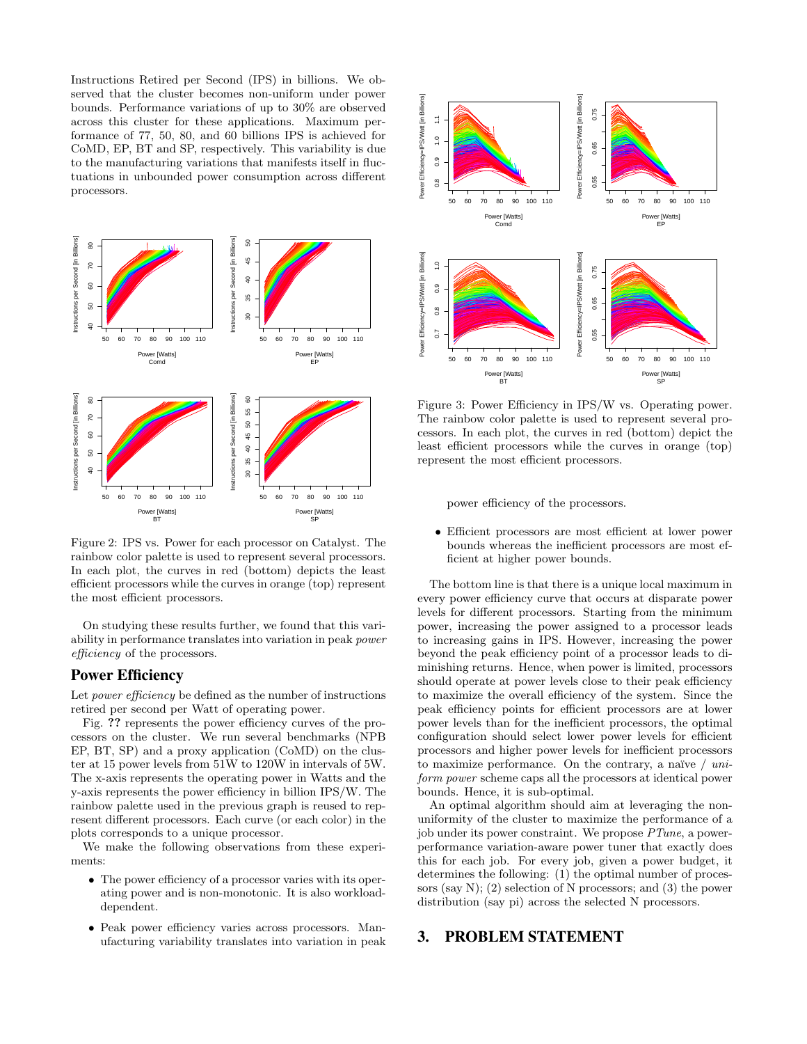Instructions Retired per Second (IPS) in billions. We observed that the cluster becomes non-uniform under power bounds. Performance variations of up to 30% are observed across this cluster for these applications. Maximum performance of 77, 50, 80, and 60 billions IPS is achieved for CoMD, EP, BT and SP, respectively. This variability is due to the manufacturing variations that manifests itself in fluctuations in unbounded power consumption across different processors.



Figure 2: IPS vs. Power for each processor on Catalyst. The rainbow color palette is used to represent several processors. In each plot, the curves in red (bottom) depicts the least efficient processors while the curves in orange (top) represent the most efficient processors.

On studying these results further, we found that this variability in performance translates into variation in peak power efficiency of the processors.

# Power Efficiency

Let *power efficiency* be defined as the number of instructions retired per second per Watt of operating power.

Fig. ?? represents the power efficiency curves of the processors on the cluster. We run several benchmarks (NPB EP, BT, SP) and a proxy application (CoMD) on the cluster at 15 power levels from 51W to 120W in intervals of 5W. The x-axis represents the operating power in Watts and the y-axis represents the power efficiency in billion IPS/W. The rainbow palette used in the previous graph is reused to represent different processors. Each curve (or each color) in the plots corresponds to a unique processor.

We make the following observations from these experiments:

- The power efficiency of a processor varies with its operating power and is non-monotonic. It is also workloaddependent.
- Peak power efficiency varies across processors. Manufacturing variability translates into variation in peak



Figure 3: Power Efficiency in IPS/W vs. Operating power. The rainbow color palette is used to represent several processors. In each plot, the curves in red (bottom) depict the least efficient processors while the curves in orange (top) represent the most efficient processors.

power efficiency of the processors.

• Efficient processors are most efficient at lower power bounds whereas the inefficient processors are most efficient at higher power bounds.

The bottom line is that there is a unique local maximum in every power efficiency curve that occurs at disparate power levels for different processors. Starting from the minimum power, increasing the power assigned to a processor leads to increasing gains in IPS. However, increasing the power beyond the peak efficiency point of a processor leads to diminishing returns. Hence, when power is limited, processors should operate at power levels close to their peak efficiency to maximize the overall efficiency of the system. Since the peak efficiency points for efficient processors are at lower power levels than for the inefficient processors, the optimal configuration should select lower power levels for efficient processors and higher power levels for inefficient processors to maximize performance. On the contrary, a naïve  $\ell$  uniform power scheme caps all the processors at identical power bounds. Hence, it is sub-optimal.

An optimal algorithm should aim at leveraging the nonuniformity of the cluster to maximize the performance of a job under its power constraint. We propose PTune, a powerperformance variation-aware power tuner that exactly does this for each job. For every job, given a power budget, it determines the following: (1) the optimal number of processors (say N); (2) selection of N processors; and (3) the power distribution (say pi) across the selected N processors.

# 3. PROBLEM STATEMENT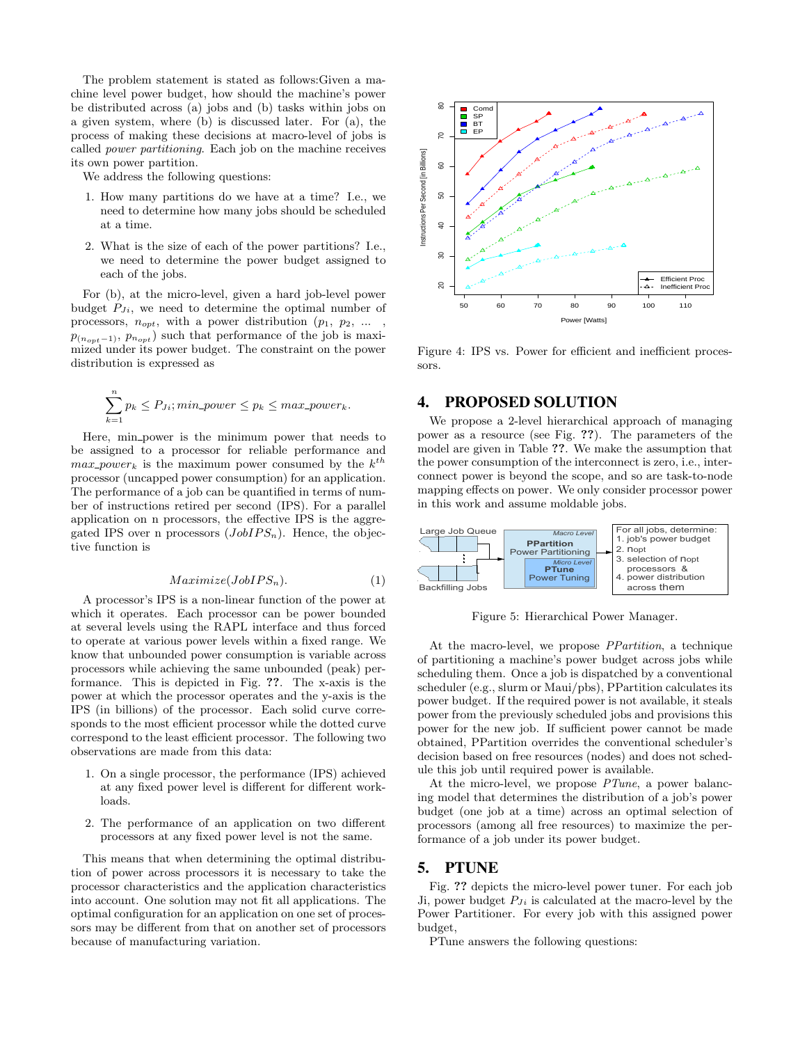The problem statement is stated as follows:Given a machine level power budget, how should the machine's power be distributed across (a) jobs and (b) tasks within jobs on a given system, where (b) is discussed later. For (a), the process of making these decisions at macro-level of jobs is called power partitioning. Each job on the machine receives its own power partition.

We address the following questions:

- 1. How many partitions do we have at a time? I.e., we need to determine how many jobs should be scheduled at a time.
- 2. What is the size of each of the power partitions? I.e., we need to determine the power budget assigned to each of the jobs.

For (b), at the micro-level, given a hard job-level power budget  $P_{J_i}$ , we need to determine the optimal number of processors,  $n_{opt}$ , with a power distribution  $(p_1, p_2, \dots, p_n)$  $p_{(n_{opt}-1)}, p_{n_{opt}}$  such that performance of the job is maximized under its power budget. The constraint on the power distribution is expressed as

$$
\sum_{k=1}^{n} p_k \le P_{J_i}; \text{min\_power} \le p_k \le \text{max\_power}_k.
$$

Here, min power is the minimum power that needs to be assigned to a processor for reliable performance and  $max\_power_k$  is the maximum power consumed by the  $k^{th}$ processor (uncapped power consumption) for an application. The performance of a job can be quantified in terms of number of instructions retired per second (IPS). For a parallel application on n processors, the effective IPS is the aggregated IPS over n processors  $(JobIPS<sub>n</sub>)$ . Hence, the objective function is

$$
Maximize(JobIPS_n). \t(1)
$$

A processor's IPS is a non-linear function of the power at which it operates. Each processor can be power bounded at several levels using the RAPL interface and thus forced to operate at various power levels within a fixed range. We know that unbounded power consumption is variable across processors while achieving the same unbounded (peak) performance. This is depicted in Fig. ??. The x-axis is the power at which the processor operates and the y-axis is the IPS (in billions) of the processor. Each solid curve corresponds to the most efficient processor while the dotted curve correspond to the least efficient processor. The following two observations are made from this data:

- 1. On a single processor, the performance (IPS) achieved at any fixed power level is different for different workloads.
- 2. The performance of an application on two different processors at any fixed power level is not the same.

This means that when determining the optimal distribution of power across processors it is necessary to take the processor characteristics and the application characteristics into account. One solution may not fit all applications. The optimal configuration for an application on one set of processors may be different from that on another set of processors because of manufacturing variation.



Figure 4: IPS vs. Power for efficient and inefficient processors.

# 4. PROPOSED SOLUTION

We propose a 2-level hierarchical approach of managing power as a resource (see Fig. ??). The parameters of the model are given in Table ??. We make the assumption that the power consumption of the interconnect is zero, i.e., interconnect power is beyond the scope, and so are task-to-node mapping effects on power. We only consider processor power in this work and assume moldable jobs.



Figure 5: Hierarchical Power Manager.

At the macro-level, we propose PPartition, a technique of partitioning a machine's power budget across jobs while scheduling them. Once a job is dispatched by a conventional scheduler (e.g., slurm or Maui/pbs), PPartition calculates its power budget. If the required power is not available, it steals power from the previously scheduled jobs and provisions this power for the new job. If sufficient power cannot be made obtained, PPartition overrides the conventional scheduler's decision based on free resources (nodes) and does not schedule this job until required power is available.

At the micro-level, we propose PTune, a power balancing model that determines the distribution of a job's power budget (one job at a time) across an optimal selection of processors (among all free resources) to maximize the performance of a job under its power budget.

# 5. PTUNE

Fig. ?? depicts the micro-level power tuner. For each job Ji, power budget  $P_{Ji}$  is calculated at the macro-level by the Power Partitioner. For every job with this assigned power budget,

PTune answers the following questions: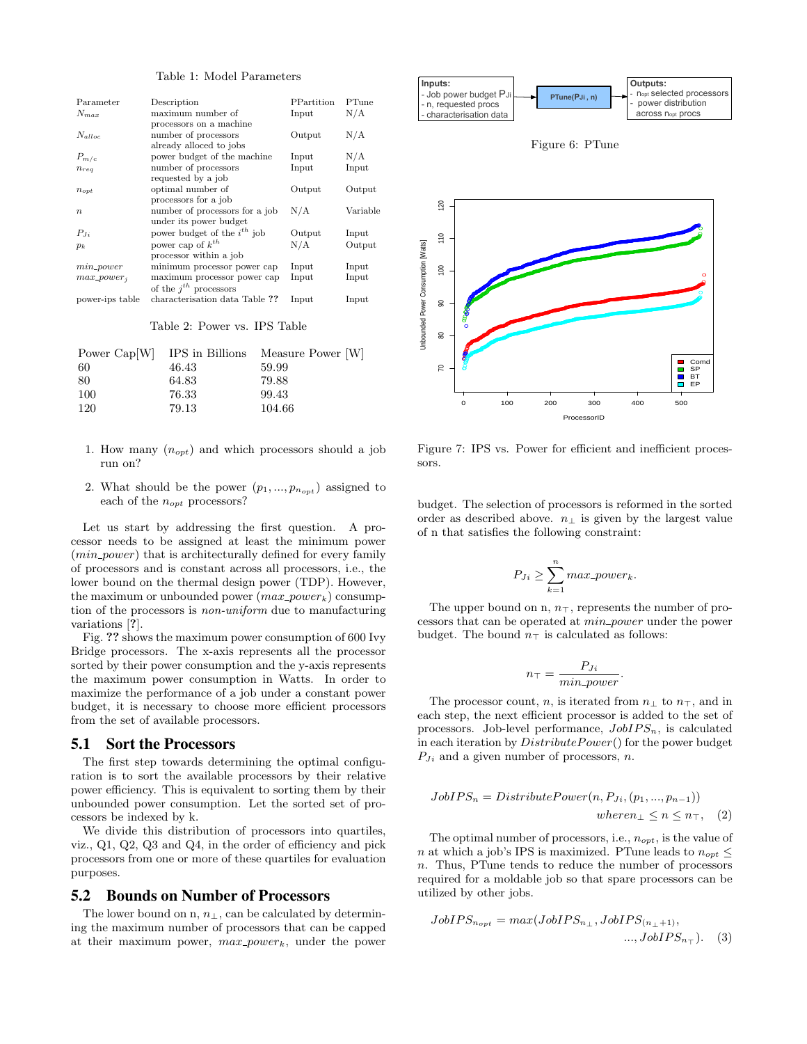#### Table 1: Model Parameters

| Parameter                                                                                                                                                                                                          | Description                                                                                                                                                                                                                                                                                                                                                                                                                                                                                                                                                                                                                                                                                                                                                                                                                                                                                                                                                                                                                                              |                   | PPartition | PTune        |                                                                                                                                                      | - Job power buaget PJi<br>- n, requested procs           | PTune(PJi, n)                                                                                                                                                                                                                                                                                                                                                                                                                                                                                                                                                                |  |
|--------------------------------------------------------------------------------------------------------------------------------------------------------------------------------------------------------------------|----------------------------------------------------------------------------------------------------------------------------------------------------------------------------------------------------------------------------------------------------------------------------------------------------------------------------------------------------------------------------------------------------------------------------------------------------------------------------------------------------------------------------------------------------------------------------------------------------------------------------------------------------------------------------------------------------------------------------------------------------------------------------------------------------------------------------------------------------------------------------------------------------------------------------------------------------------------------------------------------------------------------------------------------------------|-------------------|------------|--------------|------------------------------------------------------------------------------------------------------------------------------------------------------|----------------------------------------------------------|------------------------------------------------------------------------------------------------------------------------------------------------------------------------------------------------------------------------------------------------------------------------------------------------------------------------------------------------------------------------------------------------------------------------------------------------------------------------------------------------------------------------------------------------------------------------------|--|
| $N_{max}$                                                                                                                                                                                                          | maximum number of                                                                                                                                                                                                                                                                                                                                                                                                                                                                                                                                                                                                                                                                                                                                                                                                                                                                                                                                                                                                                                        | Input             |            | N/A          |                                                                                                                                                      | characterisation data                                    |                                                                                                                                                                                                                                                                                                                                                                                                                                                                                                                                                                              |  |
| $N_{alloc}$                                                                                                                                                                                                        | processors on a machine<br>number of processors                                                                                                                                                                                                                                                                                                                                                                                                                                                                                                                                                                                                                                                                                                                                                                                                                                                                                                                                                                                                          | Output            |            | N/A          |                                                                                                                                                      |                                                          | Figure 6: PTt                                                                                                                                                                                                                                                                                                                                                                                                                                                                                                                                                                |  |
| $P_{m/c}$<br>$n_{req}$                                                                                                                                                                                             | already alloced to jobs<br>power budget of the machine<br>number of processors                                                                                                                                                                                                                                                                                                                                                                                                                                                                                                                                                                                                                                                                                                                                                                                                                                                                                                                                                                           | Input<br>Input    |            | N/A<br>Input |                                                                                                                                                      |                                                          |                                                                                                                                                                                                                                                                                                                                                                                                                                                                                                                                                                              |  |
| $n_{opt}$                                                                                                                                                                                                          | requested by a job<br>optimal number of                                                                                                                                                                                                                                                                                                                                                                                                                                                                                                                                                                                                                                                                                                                                                                                                                                                                                                                                                                                                                  | Output            |            | Output       |                                                                                                                                                      |                                                          |                                                                                                                                                                                                                                                                                                                                                                                                                                                                                                                                                                              |  |
| $\, n$                                                                                                                                                                                                             | processors for a job<br>number of processors for a job                                                                                                                                                                                                                                                                                                                                                                                                                                                                                                                                                                                                                                                                                                                                                                                                                                                                                                                                                                                                   | N/A               |            | Variable     | $\frac{5}{2}$                                                                                                                                        |                                                          |                                                                                                                                                                                                                                                                                                                                                                                                                                                                                                                                                                              |  |
| $P_{J_i}$                                                                                                                                                                                                          | under its power budget<br>power budget of the $i^{th}$ job                                                                                                                                                                                                                                                                                                                                                                                                                                                                                                                                                                                                                                                                                                                                                                                                                                                                                                                                                                                               | Output            |            | Input        | 110                                                                                                                                                  |                                                          |                                                                                                                                                                                                                                                                                                                                                                                                                                                                                                                                                                              |  |
| $p_k$                                                                                                                                                                                                              | power cap of $k^{th}$<br>processor within a job                                                                                                                                                                                                                                                                                                                                                                                                                                                                                                                                                                                                                                                                                                                                                                                                                                                                                                                                                                                                          | N/A               |            | Output       |                                                                                                                                                      |                                                          |                                                                                                                                                                                                                                                                                                                                                                                                                                                                                                                                                                              |  |
| $min\_power$                                                                                                                                                                                                       | minimum processor power cap                                                                                                                                                                                                                                                                                                                                                                                                                                                                                                                                                                                                                                                                                                                                                                                                                                                                                                                                                                                                                              | Input             |            | Input        | $\overline{100}$                                                                                                                                     |                                                          |                                                                                                                                                                                                                                                                                                                                                                                                                                                                                                                                                                              |  |
| $max\_power_i$                                                                                                                                                                                                     | maximum processor power cap<br>of the $j^{th}$ processors                                                                                                                                                                                                                                                                                                                                                                                                                                                                                                                                                                                                                                                                                                                                                                                                                                                                                                                                                                                                | Input             |            | Input        |                                                                                                                                                      |                                                          |                                                                                                                                                                                                                                                                                                                                                                                                                                                                                                                                                                              |  |
| power-ips table                                                                                                                                                                                                    | characterisation data Table ??                                                                                                                                                                                                                                                                                                                                                                                                                                                                                                                                                                                                                                                                                                                                                                                                                                                                                                                                                                                                                           | Input             |            | Input        | ႙                                                                                                                                                    |                                                          |                                                                                                                                                                                                                                                                                                                                                                                                                                                                                                                                                                              |  |
|                                                                                                                                                                                                                    | Table 2: Power vs. IPS Table                                                                                                                                                                                                                                                                                                                                                                                                                                                                                                                                                                                                                                                                                                                                                                                                                                                                                                                                                                                                                             |                   |            |              | Unbounded Power Consumption [Watts]<br>80                                                                                                            |                                                          |                                                                                                                                                                                                                                                                                                                                                                                                                                                                                                                                                                              |  |
| Power Cap[W]                                                                                                                                                                                                       | IPS in Billions                                                                                                                                                                                                                                                                                                                                                                                                                                                                                                                                                                                                                                                                                                                                                                                                                                                                                                                                                                                                                                          | Measure Power [W] |            |              |                                                                                                                                                      |                                                          |                                                                                                                                                                                                                                                                                                                                                                                                                                                                                                                                                                              |  |
| 60                                                                                                                                                                                                                 | 46.43                                                                                                                                                                                                                                                                                                                                                                                                                                                                                                                                                                                                                                                                                                                                                                                                                                                                                                                                                                                                                                                    | 59.99             |            |              | 5                                                                                                                                                    |                                                          |                                                                                                                                                                                                                                                                                                                                                                                                                                                                                                                                                                              |  |
| 80<br>100                                                                                                                                                                                                          | 64.83<br>76.33                                                                                                                                                                                                                                                                                                                                                                                                                                                                                                                                                                                                                                                                                                                                                                                                                                                                                                                                                                                                                                           | 79.88<br>99.43    |            |              |                                                                                                                                                      |                                                          |                                                                                                                                                                                                                                                                                                                                                                                                                                                                                                                                                                              |  |
| 120                                                                                                                                                                                                                | 79.13                                                                                                                                                                                                                                                                                                                                                                                                                                                                                                                                                                                                                                                                                                                                                                                                                                                                                                                                                                                                                                                    | 104.66            |            |              |                                                                                                                                                      | $\mathsf{o}\xspace$<br>100                               | 200<br>300<br>ProcessorID                                                                                                                                                                                                                                                                                                                                                                                                                                                                                                                                                    |  |
| 1. How many $(n_{opt})$ and which processors should a job<br>run on?<br>2. What should be the power $(p_1, , p_{n_{opt}})$ assigned to                                                                             |                                                                                                                                                                                                                                                                                                                                                                                                                                                                                                                                                                                                                                                                                                                                                                                                                                                                                                                                                                                                                                                          |                   |            |              | sors.                                                                                                                                                |                                                          | Figure 7: IPS vs. Power for efficient                                                                                                                                                                                                                                                                                                                                                                                                                                                                                                                                        |  |
| variations [?].<br>5.1                                                                                                                                                                                             | each of the $n_{opt}$ processors?<br>Let us start by addressing the first question.<br>cessor needs to be assigned at least the minimum power<br>$(min-power)$ that is architecturally defined for every family<br>of processors and is constant across all processors, i.e., the<br>lower bound on the thermal design power (TDP). However,<br>the maximum or unbounded power $(max\_power_k)$ consump-<br>tion of the processors is <i>non-uniform</i> due to manufacturing<br>Fig. ?? shows the maximum power consumption of 600 Ivy<br>Bridge processors. The x-axis represents all the processor<br>sorted by their power consumption and the y-axis represents<br>the maximum power consumption in Watts. In order to<br>maximize the performance of a job under a constant power<br>budget, it is necessary to choose more efficient processors<br>from the set of available processors.<br><b>Sort the Processors</b><br>The first step towards determining the optimal configu-<br>ration is to sort the available processors by their relative |                   |            | A pro-       |                                                                                                                                                      |                                                          | budget. The selection of processors<br>order as described above. $n_{\perp}$ is gi<br>of n that satisfies the following con<br>$P_{Ji} \geq \sum_{k=1}^{n} max_{\tau} p_k$<br>The upper bound on n, $n_{\top}$ , repre<br>cessors that can be operated at <i>min</i><br>budget. The bound $n_{\top}$ is calculate<br>$n_{\top} = \frac{P_{Ji}}{min\_pou}$<br>The processor count, $n$ , is iterate<br>each step, the next efficient process<br>processors. Job-level performance,<br>in each iteration by <i>DistributePower</i><br>$P_{J_i}$ and a given number of processe |  |
| power efficiency. This is equivalent to sorting them by their<br>unbounded power consumption. Let the sorted set of pro-<br>cessors be indexed by k.                                                               |                                                                                                                                                                                                                                                                                                                                                                                                                                                                                                                                                                                                                                                                                                                                                                                                                                                                                                                                                                                                                                                          |                   |            |              |                                                                                                                                                      | $JobIPS_n = District but e Power(n,$<br>$\boldsymbol{u}$ |                                                                                                                                                                                                                                                                                                                                                                                                                                                                                                                                                                              |  |
| We divide this distribution of processors into quartiles,<br>viz., $Q1$ , $Q2$ , $Q3$ and $Q4$ , in the order of efficiency and pick<br>processors from one or more of these quartiles for evaluation<br>purposes. |                                                                                                                                                                                                                                                                                                                                                                                                                                                                                                                                                                                                                                                                                                                                                                                                                                                                                                                                                                                                                                                          |                   |            |              | The optimal number of processors<br>$n$ at which a job's IPS is maximized<br>n. Thus, PTune tends to reduce t<br>required for a moldable job so that |                                                          |                                                                                                                                                                                                                                                                                                                                                                                                                                                                                                                                                                              |  |
| 5.2                                                                                                                                                                                                                | <b>Bounds on Number of Processors</b>                                                                                                                                                                                                                                                                                                                                                                                                                                                                                                                                                                                                                                                                                                                                                                                                                                                                                                                                                                                                                    |                   |            |              |                                                                                                                                                      | utilized by other jobs.                                  |                                                                                                                                                                                                                                                                                                                                                                                                                                                                                                                                                                              |  |
|                                                                                                                                                                                                                    | The lower bound on n, $n_{\perp}$ , can be calculated by determin-<br>ing the maximum number of processors that can be capped<br>at their maximum power, $max\_power_k$ , under the power                                                                                                                                                                                                                                                                                                                                                                                                                                                                                                                                                                                                                                                                                                                                                                                                                                                                |                   |            |              |                                                                                                                                                      |                                                          | $JobIPS_{n_{opt}} = max(JobIPS_{n_{\perp}},$                                                                                                                                                                                                                                                                                                                                                                                                                                                                                                                                 |  |

#### Table 2: Power vs. IPS Table

|     |       | Power Cap <sup>[W]</sup> IPS in Billions Measure Power [W] |
|-----|-------|------------------------------------------------------------|
| -60 | 46.43 | 59.99                                                      |
| -80 | 64.83 | 79.88                                                      |
| 100 | 76.33 | 99.43                                                      |
| 120 | 79.13 | 104.66                                                     |

- 1. How many  $(n_{opt})$  and which processors should a job run on?
- 2. What should be the power  $(p_1, ..., p_{n_{opt}})$  assigned to each of the  $n_{opt}$  processors?

#### 5.1 Sort the Processors

#### 5.2 Bounds on Number of Processors



Figure 6: PTune



Figure 7: IPS vs. Power for efficient and inefficient processors.

budget. The selection of processors is reformed in the sorted order as described above.  $n_{\perp}$  is given by the largest value of n that satisfies the following constraint:

$$
P_{Ji} \ge \sum_{k=1}^{n} max\_power_k.
$$

The upper bound on n,  $n_{\top}$ , represents the number of processors that can be operated at  $min\_power$  under the power budget. The bound  $n<sub>T</sub>$  is calculated as follows:

$$
n_{\top} = \frac{P_{Ji}}{min\_power}.
$$

The processor count, n, is iterated from  $n_{\perp}$  to  $n_{\perp}$ , and in each step, the next efficient processor is added to the set of processors. Job-level performance,  $JobIPS_n$ , is calculated in each iteration by  $DistributePower()$  for the power budget  $P_{J_i}$  and a given number of processors, n.

$$
JobIPS_n = DistributePower(n, P_{Ji}, (p_1, ..., p_{n-1}))
$$
  
where  $n_{\perp} \le n \le n_{\top}$ , (2)

The optimal number of processors, i.e.,  $n_{opt}$ , is the value of n at which a job's IPS is maximized. PTune leads to  $n_{opt} \leq$ n. Thus, PTune tends to reduce the number of processors required for a moldable job so that spare processors can be utilized by other jobs.

$$
JobIPS_{n_{opt}} = max(JobIPS_{n_\perp}, JobIPS_{(n_\perp+1)},
$$
  
...,
$$
JobIPS_{n_\top}).
$$
 (3)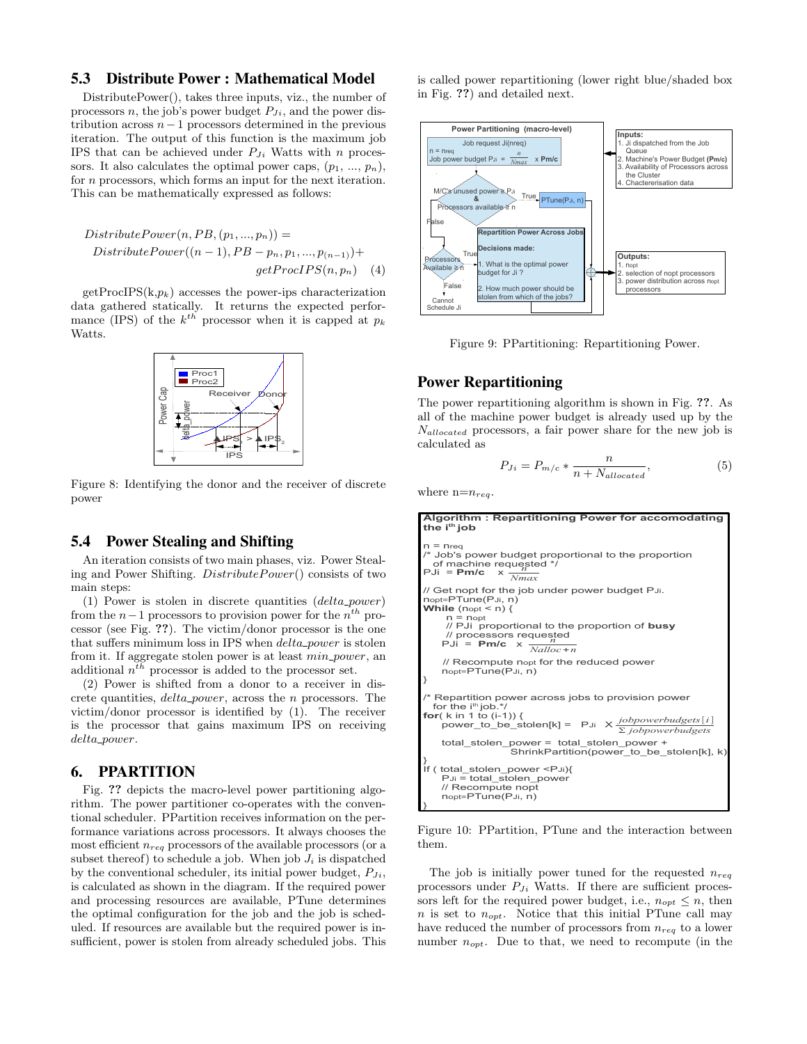# 5.3 Distribute Power : Mathematical Model

DistributePower(), takes three inputs, viz., the number of processors n, the job's power budget  $P_{J_i}$ , and the power distribution across  $n-1$  processors determined in the previous iteration. The output of this function is the maximum job IPS that can be achieved under  $P_{J_i}$  Watts with n processors. It also calculates the optimal power caps,  $(p_1, ..., p_n)$ , for *n* processors, which forms an input for the next iteration. This can be mathematically expressed as follows:

Distribute Power
$$
(n, PB, (p_1, ..., p_n))
$$
 =  
Distribute Power $((n - 1), PB - p_n, p_1, ..., p_{(n-1)})$ +  
getProcIPS $(n, p_n)$  (4)

 $getProcIPS(k,p_k)$  accesses the power-ips characterization data gathered statically. It returns the expected performance (IPS) of the  $k^{th}$  processor when it is capped at  $p_k$ Watts.



Figure 8: Identifying the donor and the receiver of discrete power

#### 5.4 Power Stealing and Shifting

An iteration consists of two main phases, viz. Power Stealing and Power Shifting. DistributePower() consists of two main steps:

(1) Power is stolen in discrete quantities  $(delta\_power)$ from the  $n-1$  processors to provision power for the  $n^{th}$  processor (see Fig. ??). The victim/donor processor is the one that suffers minimum loss in IPS when *delta\_power* is stolen from it. If aggregate stolen power is at least  $min\_power$ , an additional  $n<sup>th</sup>$  processor is added to the processor set.

(2) Power is shifted from a donor to a receiver in discrete quantities, delta power, across the n processors. The victim/donor processor is identified by (1). The receiver is the processor that gains maximum IPS on receiving delta power.

# 6. PPARTITION

Fig. ?? depicts the macro-level power partitioning algorithm. The power partitioner co-operates with the conventional scheduler. PPartition receives information on the performance variations across processors. It always chooses the most efficient  $n_{req}$  processors of the available processors (or a subset thereof) to schedule a job. When job  $J_i$  is dispatched by the conventional scheduler, its initial power budget,  $P_{J_i}$ , is calculated as shown in the diagram. If the required power and processing resources are available, PTune determines the optimal configuration for the job and the job is scheduled. If resources are available but the required power is insufficient, power is stolen from already scheduled jobs. This is called power repartitioning (lower right blue/shaded box in Fig. ??) and detailed next.



Figure 9: PPartitioning: Repartitioning Power.

# Power Repartitioning

The power repartitioning algorithm is shown in Fig. ??. As all of the machine power budget is already used up by the  $N_{allocated}$  processors, a fair power share for the new job is calculated as

$$
P_{Ji} = P_{m/c} * \frac{n}{n + N_{allocated}},\tag{5}
$$

where  $n=n_{req}$ .

**Algorithm : Repartitioning Power for accomodating the ith job**  $=$  nreq /\* Job's power budget proportional to the proportion of machine requested  $^*/$ PJi = **Pm/c** x // Get nopt for the job under power budget PJi.<br>nopt=PTune(PJi, n) **While** (nopt < n) {  $n =$  nopt // PJi proportional to the proportion of **busy** // processors requested *n* PJi = **Pm/c** x // Recompute nopt for the reduced power nopt=PTune(PJi, n) } Repartition power across jobs to provision power for the  $i<sup>th</sup>$  job. $<sup>*</sup>$ /</sup> **for**( k in 1 to (i-1)) { power\_to\_be\_stolen[k] = PJi X *jobpowerbudgets*[*i*] Σ *jobpowerbudgets* total\_stolen\_power = total\_stolen\_power + ShrinkPartition(power\_to\_be\_stolen[k], k) } If ( total\_stolen\_power <PJi){ PJi = total\_stolen\_power // Recompute nopt nopt=PTune(PJi, n) } *Nmax Nalloc*+*n*

Figure 10: PPartition, PTune and the interaction between them.

The job is initially power tuned for the requested  $n_{req}$ processors under  $P_{Ji}$  Watts. If there are sufficient processors left for the required power budget, i.e.,  $n_{opt} \leq n$ , then n is set to  $n_{opt}$ . Notice that this initial PTune call may have reduced the number of processors from  $n_{req}$  to a lower number  $n_{opt}$ . Due to that, we need to recompute (in the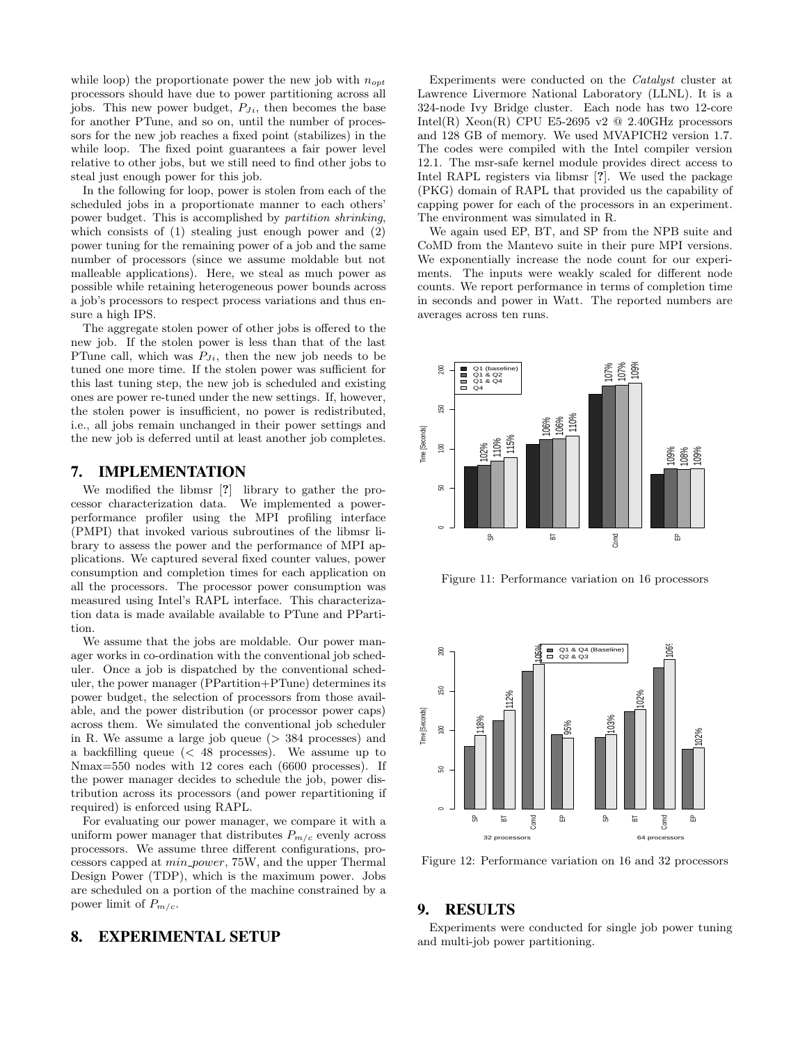while loop) the proportionate power the new job with  $n_{opt}$ processors should have due to power partitioning across all jobs. This new power budget,  $P_{J_i}$ , then becomes the base for another PTune, and so on, until the number of processors for the new job reaches a fixed point (stabilizes) in the while loop. The fixed point guarantees a fair power level relative to other jobs, but we still need to find other jobs to steal just enough power for this job.

In the following for loop, power is stolen from each of the scheduled jobs in a proportionate manner to each others' power budget. This is accomplished by partition shrinking, which consists of (1) stealing just enough power and (2) power tuning for the remaining power of a job and the same number of processors (since we assume moldable but not malleable applications). Here, we steal as much power as possible while retaining heterogeneous power bounds across a job's processors to respect process variations and thus ensure a high IPS.

The aggregate stolen power of other jobs is offered to the new job. If the stolen power is less than that of the last PTune call, which was  $P_{Ji}$ , then the new job needs to be tuned one more time. If the stolen power was sufficient for this last tuning step, the new job is scheduled and existing ones are power re-tuned under the new settings. If, however, the stolen power is insufficient, no power is redistributed, i.e., all jobs remain unchanged in their power settings and the new job is deferred until at least another job completes.

## 7. IMPLEMENTATION

We modified the libmsr [?] library to gather the processor characterization data. We implemented a powerperformance profiler using the MPI profiling interface (PMPI) that invoked various subroutines of the libmsr library to assess the power and the performance of MPI applications. We captured several fixed counter values, power consumption and completion times for each application on all the processors. The processor power consumption was measured using Intel's RAPL interface. This characterization data is made available available to PTune and PPartition.

We assume that the jobs are moldable. Our power manager works in co-ordination with the conventional job scheduler. Once a job is dispatched by the conventional scheduler, the power manager (PPartition+PTune) determines its power budget, the selection of processors from those available, and the power distribution (or processor power caps) across them. We simulated the conventional job scheduler in R. We assume a large job queue  $($   $>$  384 processes) and a backfilling queue (< 48 processes). We assume up to Nmax=550 nodes with 12 cores each (6600 processes). If the power manager decides to schedule the job, power distribution across its processors (and power repartitioning if required) is enforced using RAPL.

For evaluating our power manager, we compare it with a uniform power manager that distributes  $P_{m/c}$  evenly across processors. We assume three different configurations, processors capped at min power, 75W, and the upper Thermal Design Power (TDP), which is the maximum power. Jobs are scheduled on a portion of the machine constrained by a power limit of  $P_{m/c}$ .

# 8. EXPERIMENTAL SETUP

Experiments were conducted on the Catalyst cluster at Lawrence Livermore National Laboratory (LLNL). It is a 324-node Ivy Bridge cluster. Each node has two 12-core Intel(R) Xeon(R) CPU E5-2695 v2  $@$  2.40GHz processors and 128 GB of memory. We used MVAPICH2 version 1.7. The codes were compiled with the Intel compiler version 12.1. The msr-safe kernel module provides direct access to Intel RAPL registers via libmsr [?]. We used the package (PKG) domain of RAPL that provided us the capability of capping power for each of the processors in an experiment. The environment was simulated in R.

We again used EP, BT, and SP from the NPB suite and CoMD from the Mantevo suite in their pure MPI versions. We exponentially increase the node count for our experiments. The inputs were weakly scaled for different node counts. We report performance in terms of completion time in seconds and power in Watt. The reported numbers are averages across ten runs.



Figure 11: Performance variation on 16 processors



Figure 12: Performance variation on 16 and 32 processors

#### 9. RESULTS

Experiments were conducted for single job power tuning and multi-job power partitioning.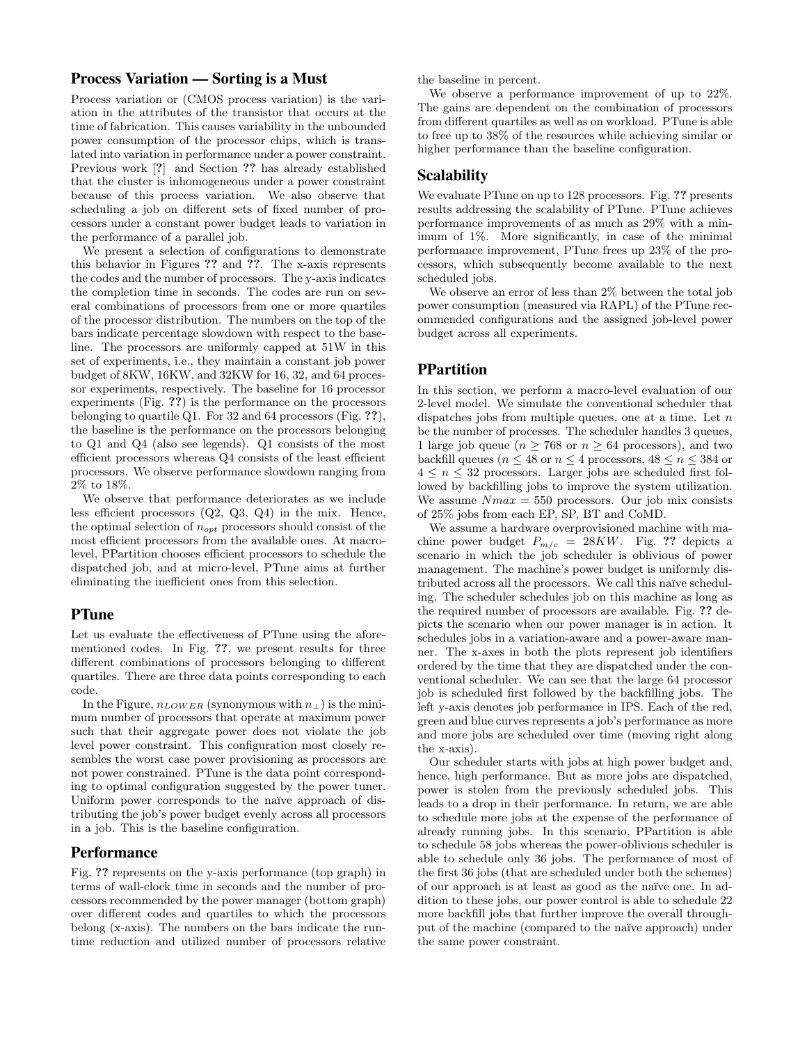# Process Variation — Sorting is a Must

Process variation or (CMOS process variation) is the variation in the attributes of the transistor that occurs at the time of fabrication. This causes variability in the unbounded power consumption of the processor chips, which is translated into variation in performance under a power constraint. Previous work [?] and Section ?? has already established that the cluster is inhomogeneous under a power constraint because of this process variation. We also observe that scheduling a job on different sets of fixed number of processors under a constant power budget leads to variation in the performance of a parallel job.

We present a selection of configurations to demonstrate this behavior in Figures ?? and ??. The x-axis represents the codes and the number of processors. The y-axis indicates the completion time in seconds. The codes are run on several combinations of processors from one or more quartiles of the processor distribution. The numbers on the top of the bars indicate percentage slowdown with respect to the baseline. The processors are uniformly capped at 51W in this set of experiments, i.e., they maintain a constant job power budget of 8KW, 16KW, and 32KW for 16, 32, and 64 processor experiments, respectively. The baseline for 16 processor experiments (Fig. ??) is the performance on the processors belonging to quartile Q1. For 32 and 64 processors (Fig. ??), the baseline is the performance on the processors belonging to Q1 and Q4 (also see legends). Q1 consists of the most efficient processors whereas Q4 consists of the least efficient processors. We observe performance slowdown ranging from 2% to 18%.

We observe that performance deteriorates as we include less efficient processors (Q2, Q3, Q4) in the mix. Hence, the optimal selection of  $n_{opt}$  processors should consist of the most efficient processors from the available ones. At macrolevel, PPartition chooses efficient processors to schedule the dispatched job, and at micro-level, PTune aims at further eliminating the inefficient ones from this selection.

# **PTune**

Let us evaluate the effectiveness of PTune using the aforementioned codes. In Fig. ??, we present results for three different combinations of processors belonging to different quartiles. There are three data points corresponding to each code.

In the Figure,  $n_{LOWER}$  (synonymous with  $n_{\perp}$ ) is the minimum number of processors that operate at maximum power such that their aggregate power does not violate the job level power constraint. This configuration most closely resembles the worst case power provisioning as processors are not power constrained. PTune is the data point corresponding to optimal configuration suggested by the power tuner. Uniform power corresponds to the naïve approach of distributing the job's power budget evenly across all processors in a job. This is the baseline configuration.

#### **Performance**

Fig. ?? represents on the y-axis performance (top graph) in terms of wall-clock time in seconds and the number of processors recommended by the power manager (bottom graph) over different codes and quartiles to which the processors belong (x-axis). The numbers on the bars indicate the runtime reduction and utilized number of processors relative

the baseline in percent.

We observe a performance improvement of up to 22%. The gains are dependent on the combination of processors from different quartiles as well as on workload. PTune is able to free up to 38% of the resources while achieving similar or higher performance than the baseline configuration.

# Scalability

We evaluate PTune on up to 128 processors. Fig. ?? presents results addressing the scalability of PTune. PTune achieves performance improvements of as much as 29% with a minimum of 1%. More significantly, in case of the minimal performance improvement, PTune frees up 23% of the processors, which subsequently become available to the next scheduled jobs.

We observe an error of less than 2% between the total job power consumption (measured via RAPL) of the PTune recommended configurations and the assigned job-level power budget across all experiments.

# **PPartition**

In this section, we perform a macro-level evaluation of our 2-level model. We simulate the conventional scheduler that dispatches jobs from multiple queues, one at a time. Let  $n$ be the number of processes. The scheduler handles 3 queues, 1 large job queue ( $n > 768$  or  $n > 64$  processors), and two backfill queues ( $n \leq 48$  or  $n \leq 4$  processors,  $48 \leq n \leq 384$  or  $4 \leq n \leq 32$  processors. Larger jobs are scheduled first followed by backfilling jobs to improve the system utilization. We assume  $Nmax = 550$  processors. Our job mix consists of 25% jobs from each EP, SP, BT and CoMD.

We assume a hardware overprovisioned machine with machine power budget  $P_{m/c} = 28KW$ . Fig. ?? depicts a scenario in which the job scheduler is oblivious of power management. The machine's power budget is uniformly distributed across all the processors. We call this naïve scheduling. The scheduler schedules job on this machine as long as the required number of processors are available. Fig. ?? depicts the scenario when our power manager is in action. It schedules jobs in a variation-aware and a power-aware manner. The x-axes in both the plots represent job identifiers ordered by the time that they are dispatched under the conventional scheduler. We can see that the large 64 processor job is scheduled first followed by the backfilling jobs. The left y-axis denotes job performance in IPS. Each of the red, green and blue curves represents a job's performance as more and more jobs are scheduled over time (moving right along the x-axis).

Our scheduler starts with jobs at high power budget and, hence, high performance. But as more jobs are dispatched, power is stolen from the previously scheduled jobs. This leads to a drop in their performance. In return, we are able to schedule more jobs at the expense of the performance of already running jobs. In this scenario, PPartition is able to schedule 58 jobs whereas the power-oblivious scheduler is able to schedule only 36 jobs. The performance of most of the first 36 jobs (that are scheduled under both the schemes) of our approach is at least as good as the naïve one. In addition to these jobs, our power control is able to schedule 22 more backfill jobs that further improve the overall throughput of the machine (compared to the na¨ıve approach) under the same power constraint.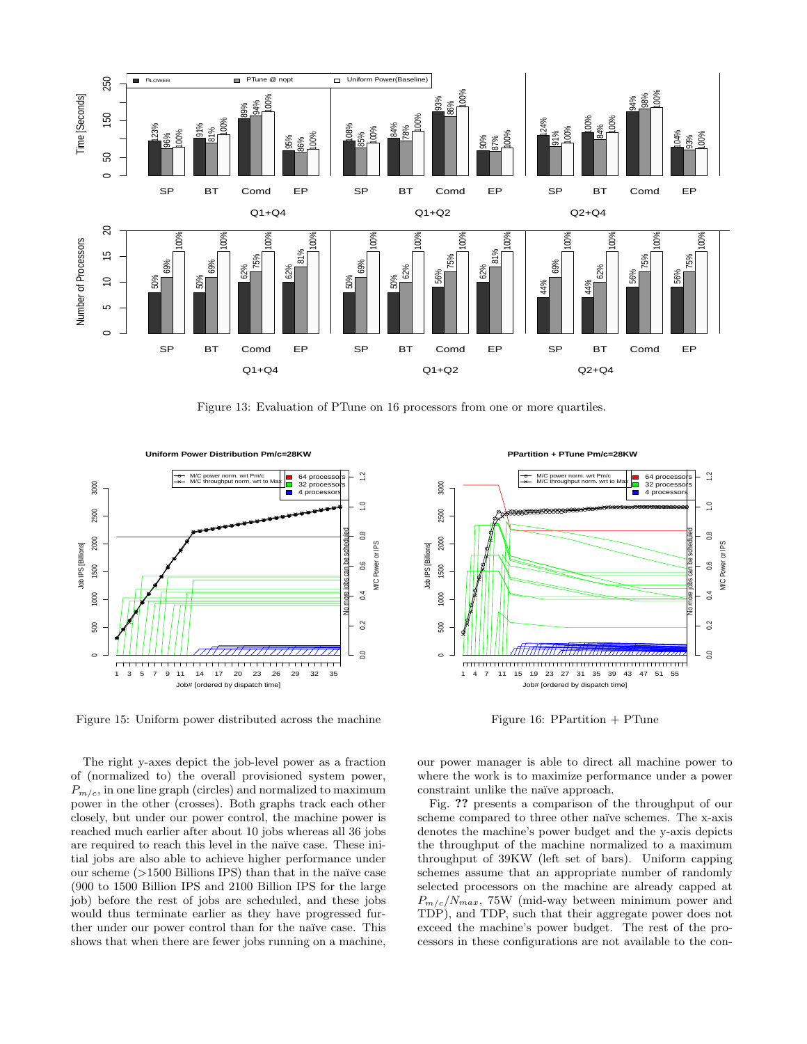

Figure 13: Evaluation of PTune on 16 processors from one or more quartiles.



Figure 15: Uniform power distributed across the machine

The right y-axes depict the job-level power as a fraction of (normalized to) the overall provisioned system power,  $P_{m/c}$ , in one line graph (circles) and normalized to maximum power in the other (crosses). Both graphs track each other closely, but under our power control, the machine power is reached much earlier after about 10 jobs whereas all 36 jobs are required to reach this level in the naïve case. These initial jobs are also able to achieve higher performance under our scheme  $(>1500$  Billions IPS) than that in the naïve case (900 to 1500 Billion IPS and 2100 Billion IPS for the large job) before the rest of jobs are scheduled, and these jobs would thus terminate earlier as they have progressed further under our power control than for the naïve case. This shows that when there are fewer jobs running on a machine,

**PPartition + PTune Pm/c=28KW** 



Figure 16: PPartition  $+$  PTune

our power manager is able to direct all machine power to where the work is to maximize performance under a power constraint unlike the naïve approach.

Fig. ?? presents a comparison of the throughput of our scheme compared to three other naïve schemes. The x-axis denotes the machine's power budget and the y-axis depicts the throughput of the machine normalized to a maximum throughput of 39KW (left set of bars). Uniform capping schemes assume that an appropriate number of randomly selected processors on the machine are already capped at  $P_{m/c}/N_{max}$ , 75W (mid-way between minimum power and TDP), and TDP, such that their aggregate power does not exceed the machine's power budget. The rest of the processors in these configurations are not available to the con-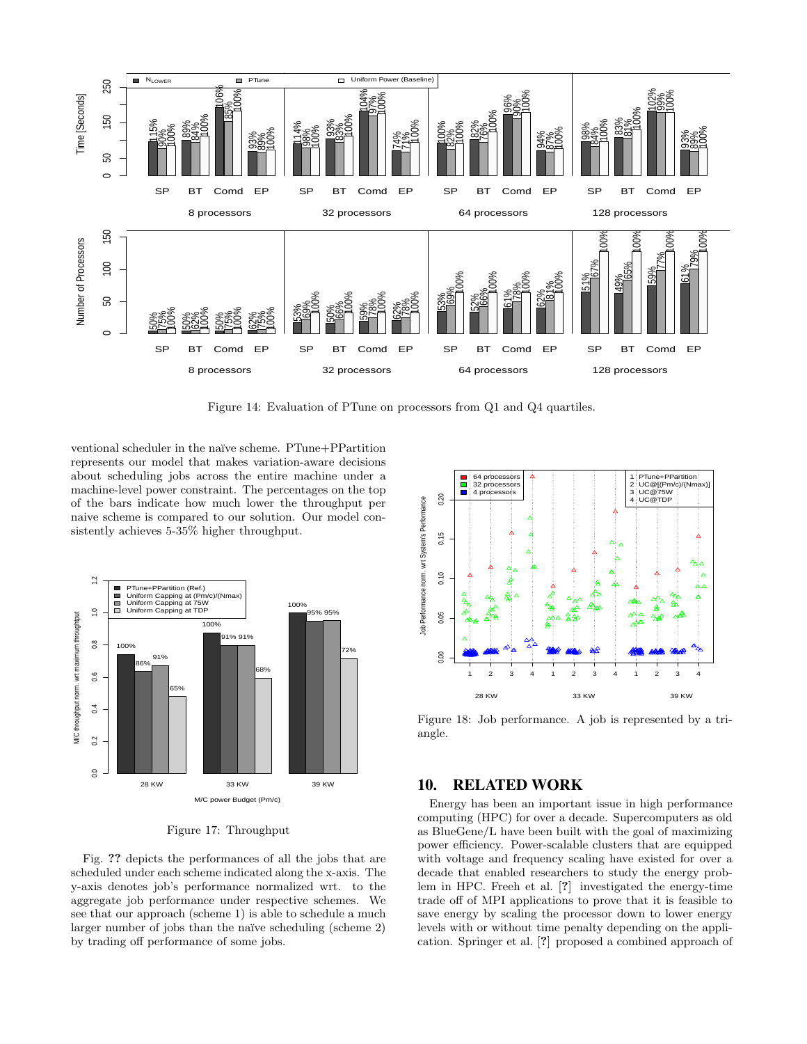

Figure 14: Evaluation of PTune on processors from Q1 and Q4 quartiles.

ventional scheduler in the naïve scheme. PTune+PPartition represents our model that makes variation-aware decisions about scheduling jobs across the entire machine under a machine-level power constraint. The percentages on the top of the bars indicate how much lower the throughput per naive scheme is compared to our solution. Our model consistently achieves 5-35% higher throughput.



Figure 17: Throughput

Fig. ?? depicts the performances of all the jobs that are scheduled under each scheme indicated along the x-axis. The y-axis denotes job's performance normalized wrt. to the aggregate job performance under respective schemes. We see that our approach (scheme 1) is able to schedule a much larger number of jobs than the naïve scheduling (scheme 2) by trading off performance of some jobs.



Figure 18: Job performance. A job is represented by a triangle.

# 10. RELATED WORK

Energy has been an important issue in high performance computing (HPC) for over a decade. Supercomputers as old as BlueGene/L have been built with the goal of maximizing power efficiency. Power-scalable clusters that are equipped with voltage and frequency scaling have existed for over a decade that enabled researchers to study the energy problem in HPC. Freeh et al. [?] investigated the energy-time trade off of MPI applications to prove that it is feasible to save energy by scaling the processor down to lower energy levels with or without time penalty depending on the application. Springer et al. [?] proposed a combined approach of